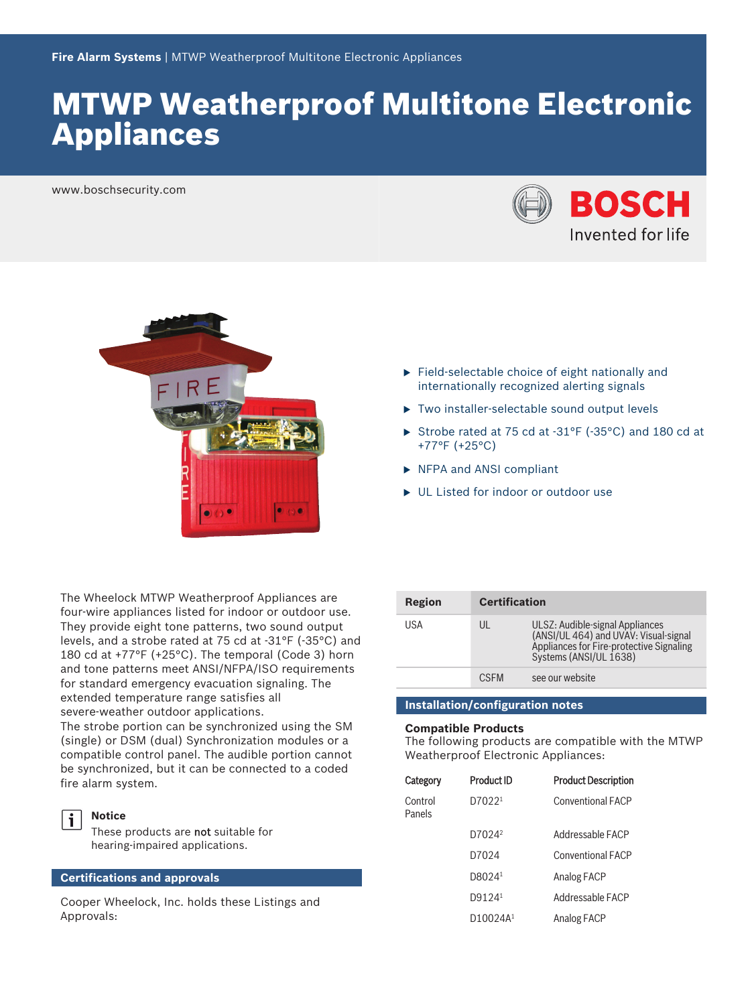# MTWP Weatherproof Multitone Electronic Appliances

www.boschsecurity.com





The Wheelock MTWP Weatherproof Appliances are four-wire appliances listed for indoor or outdoor use. They provide eight tone patterns, two sound output levels, and a strobe rated at 75 cd at -31°F (-35°C) and 180 cd at +77°F (+25°C). The temporal (Code 3) horn and tone patterns meet ANSI/NFPA/ISO requirements for standard emergency evacuation signaling. The extended temperature range satisfies all severe‑weather outdoor applications.

The strobe portion can be synchronized using the SM (single) or DSM (dual) Synchronization modules or a compatible control panel. The audible portion cannot be synchronized, but it can be connected to a coded fire alarm system.



**Notice**

These products are not suitable for hearing‑impaired applications.

#### **Certifications and approvals**

Cooper Wheelock, Inc. holds these Listings and Approvals:

- $\blacktriangleright$  Field-selectable choice of eight nationally and internationally recognized alerting signals
- $\triangleright$  Two installer-selectable sound output levels
- Strobe rated at 75 cd at -31°F (-35°C) and 180 cd at +77°F (+25°C)
- $\triangleright$  NFPA and ANSI compliant
- ▶ UL Listed for indoor or outdoor use

| Region | <b>Certification</b> |                                                                                                                                                |
|--------|----------------------|------------------------------------------------------------------------------------------------------------------------------------------------|
| USA    | UL                   | ULSZ: Audible-signal Appliances<br>(ANSI/UL 464) and UVAV: Visual-signal<br>Appliances for Fire-protective Signaling<br>Systems (ANSI/UL 1638) |
|        | <b>CSEM</b>          | see our website                                                                                                                                |

### **Installation/configuration notes**

#### **Compatible Products**

The following products are compatible with the MTWP Weatherproof Electronic Appliances:

| Category          | <b>Product ID</b>    | <b>Product Description</b> |
|-------------------|----------------------|----------------------------|
| Control<br>Panels | D70221               | <b>Conventional FACP</b>   |
|                   | D7024 <sup>2</sup>   | Addressable FACP           |
|                   | D7024                | <b>Conventional FACP</b>   |
|                   | D8024 <sup>1</sup>   | Analog FACP                |
|                   | D9124 <sup>1</sup>   | Addressable FACP           |
|                   | D10024A <sup>1</sup> | Analog FACP                |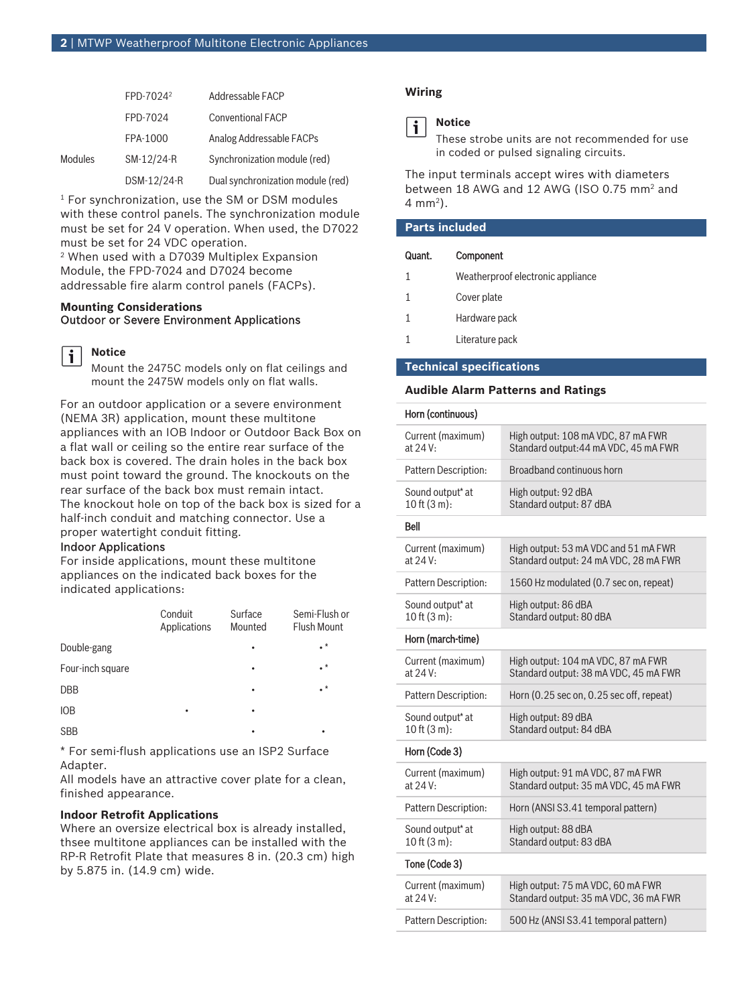|         | FPD-7024 <sup>2</sup> | Addressable FACP                  |
|---------|-----------------------|-----------------------------------|
|         | FPD-7024              | <b>Conventional FACP</b>          |
|         | FPA-1000              | Analog Addressable FACPs          |
| Modules | SM-12/24-R            | Synchronization module (red)      |
|         | DSM-12/24-R           | Dual synchronization module (red) |

1 For synchronization, use the SM or DSM modules with these control panels. The synchronization module must be set for 24 V operation. When used, the D7022 must be set for 24 VDC operation.

2 When used with a D7039 Multiplex Expansion Module, the FPD-7024 and D7024 become addressable fire alarm control panels (FACPs).

#### **Mounting Considerations** Outdoor or Severe Environment Applications



Mount the 2475C models only on flat ceilings and mount the 2475W models only on flat walls.

For an outdoor application or a severe environment (NEMA 3R) application, mount these multitone appliances with an IOB Indoor or Outdoor Back Box on a flat wall or ceiling so the entire rear surface of the back box is covered. The drain holes in the back box must point toward the ground. The knockouts on the rear surface of the back box must remain intact. The knockout hole on top of the back box is sized for a half-inch conduit and matching connector. Use a proper watertight conduit fitting.

#### Indoor Applications

For inside applications, mount these multitone appliances on the indicated back boxes for the indicated applications:

|                  | Conduit<br>Applications | Surface<br>Mounted | Semi-Flush or<br><b>Flush Mount</b> |
|------------------|-------------------------|--------------------|-------------------------------------|
| Double-gang      |                         |                    | $\cdot^*$                           |
| Four-inch square |                         |                    | . *                                 |
| <b>DBB</b>       |                         | ٠                  | $\cdot^*$                           |
| <b>IOB</b>       |                         | ٠                  |                                     |
| <b>SBB</b>       |                         | ٠                  | ٠                                   |

\* For semi‑flush applications use an ISP2 Surface Adapter.

All models have an attractive cover plate for a clean, finished appearance.

#### **Indoor Retrofit Applications**

Where an oversize electrical box is already installed, thsee multitone appliances can be installed with the RP‑R Retrofit Plate that measures 8 in. (20.3 cm) high by 5.875 in. (14.9 cm) wide.

### **Wiring**



### **Notice**

These strobe units are not recommended for use in coded or pulsed signaling circuits.

The input terminals accept wires with diameters between 18 AWG and 12 AWG (ISO 0.75 mm<sup>2</sup> and 4 mm<sup>2</sup> ).

| <b>Parts included</b> |                                   |  |
|-----------------------|-----------------------------------|--|
| Quant.                | Component                         |  |
|                       | Weatherproof electronic appliance |  |
| 1                     | Cover plate                       |  |
| 1                     | Hardware pack                     |  |
|                       | Literature pack                   |  |

#### **Technical specifications**

#### **Audible Alarm Patterns and Ratings**

| Horn (continuous)                                 |                                                                               |
|---------------------------------------------------|-------------------------------------------------------------------------------|
| Current (maximum)<br>at 24 V:                     | High output: 108 mA VDC, 87 mA FWR<br>Standard output: 44 mA VDC, 45 mA FWR   |
| Pattern Description:                              | Broadband continuous horn                                                     |
| Sound output* at<br>$10$ ft $(3 m)$ :             | High output: 92 dBA<br>Standard output: 87 dBA                                |
| <b>Bell</b>                                       |                                                                               |
| Current (maximum)<br>at 24 V:                     | High output: 53 mA VDC and 51 mA FWR<br>Standard output: 24 mA VDC, 28 mA FWR |
| Pattern Description:                              | 1560 Hz modulated (0.7 sec on, repeat)                                        |
| Sound output <sup>*</sup> at<br>$10$ ft $(3 m)$ : | High output: 86 dBA<br>Standard output: 80 dBA                                |
| Horn (march-time)                                 |                                                                               |
| Current (maximum)<br>at 24 V:                     | High output: 104 mA VDC, 87 mA FWR<br>Standard output: 38 mA VDC, 45 mA FWR   |
| Pattern Description:                              | Horn (0.25 sec on, 0.25 sec off, repeat)                                      |
| Sound output* at<br>$10$ ft $(3 m)$ :             | High output: 89 dBA<br>Standard output: 84 dBA                                |
| Horn (Code 3)                                     |                                                                               |
| Current (maximum)<br>at 24 V:                     | High output: 91 mA VDC, 87 mA FWR<br>Standard output: 35 mA VDC, 45 mA FWR    |
| Pattern Description:                              | Horn (ANSI S3.41 temporal pattern)                                            |
| Sound output* at<br>10 ft (3 m):                  | High output: 88 dBA<br>Standard output: 83 dBA                                |
| Tone (Code 3)                                     |                                                                               |
| Current (maximum)<br>at 24 V:                     | High output: 75 mA VDC, 60 mA FWR<br>Standard output: 35 mA VDC, 36 mA FWR    |
| Pattern Description:                              | 500 Hz (ANSI S3.41 temporal pattern)                                          |
|                                                   |                                                                               |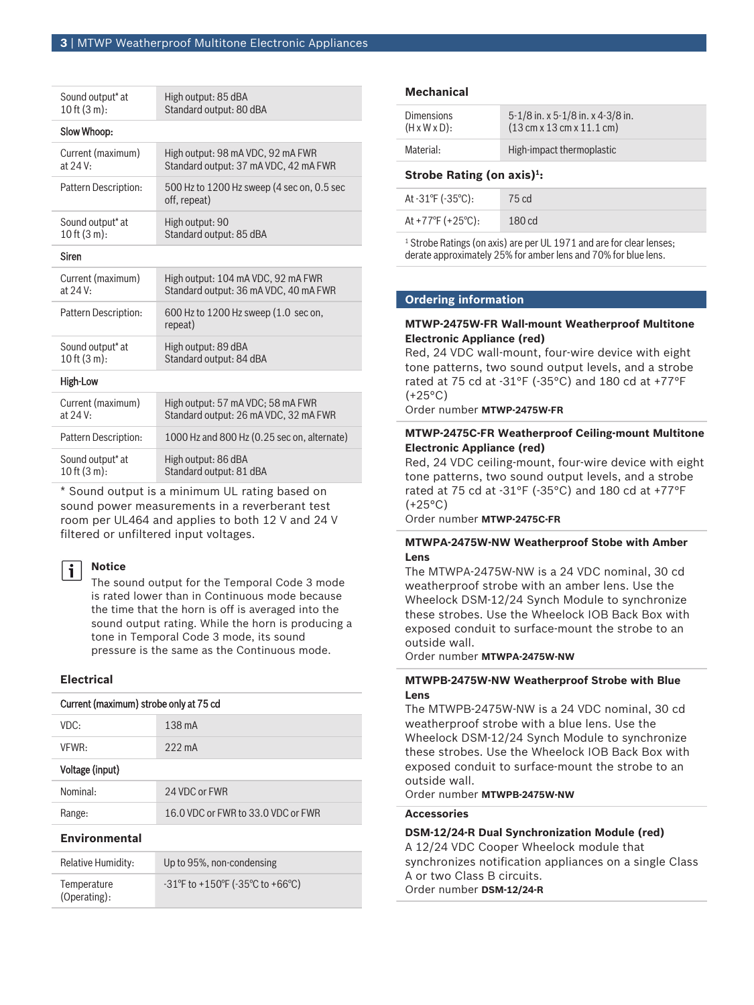| Sound output* at             | High output: 85 dBA                                        |
|------------------------------|------------------------------------------------------------|
| 10 ft $(3 m)$ :              | Standard output: 80 dBA                                    |
| Slow Whoop:                  |                                                            |
| Current (maximum)            | High output: 98 mA VDC, 92 mA FWR                          |
| at 24 V:                     | Standard output: 37 mA VDC, 42 mA FWR                      |
| Pattern Description:         | 500 Hz to 1200 Hz sweep (4 sec on, 0.5 sec<br>off, repeat) |
| Sound output <sup>*</sup> at | High output: 90                                            |
| 10 ft (3 m):                 | Standard output: 85 dBA                                    |
| <b>Siren</b>                 |                                                            |
| Current (maximum)            | High output: 104 mA VDC, 92 mA FWR                         |
| at 24 V:                     | Standard output: 36 mA VDC, 40 mA FWR                      |
| Pattern Description:         | 600 Hz to 1200 Hz sweep (1.0 sec on,<br>repeat)            |
| Sound output <sup>*</sup> at | High output: 89 dBA                                        |
| $10$ ft $(3 \text{ m})$ :    | Standard output: 84 dBA                                    |
| High-Low                     |                                                            |
| Current (maximum)            | High output: 57 mA VDC; 58 mA FWR                          |
| at 24 V:                     | Standard output: 26 mA VDC, 32 mA FWR                      |
| Pattern Description:         | 1000 Hz and 800 Hz (0.25 sec on, alternate)                |
| Sound output <sup>*</sup> at | High output: 86 dBA                                        |
| 10 ft (3 m):                 | Standard output: 81 dBA                                    |

\* Sound output is a minimum UL rating based on sound power measurements in a reverberant test room per UL464 and applies to both 12 V and 24 V filtered or unfiltered input voltages.

#### **Notice**

i

The sound output for the Temporal Code 3 mode is rated lower than in Continuous mode because the time that the horn is off is averaged into the sound output rating. While the horn is producing a tone in Temporal Code 3 mode, its sound pressure is the same as the Continuous mode.

#### **Electrical**

| Current (maximum) strobe only at 75 cd |                                                 |
|----------------------------------------|-------------------------------------------------|
| VDC:                                   | 138 mA                                          |
| VFWR:                                  | $222 \text{ mA}$                                |
| Voltage (input)                        |                                                 |
| Nominal:                               | 24 VDC or FWR                                   |
| Range:                                 | 16.0 VDC or FWR to 33.0 VDC or FWR              |
| <b>Environmental</b>                   |                                                 |
| Dolativo Humidity.                     | $\ln t_0$ $\Omega$ <sub>50</sub> non-condoncing |

#### Relative Humidity: Up to 95%, non‑condensing **Temperature** (Operating): -31°F to +150°F (-35°C to +66°C)

#### **Mechanical**

| <b>Dimensions</b>         | $5-1/8$ in. x $5-1/8$ in. x 4-3/8 in.                         |
|---------------------------|---------------------------------------------------------------|
| $(H \times W \times D)$ : | $(13 \text{ cm} \times 13 \text{ cm} \times 11.1 \text{ cm})$ |
| Material:                 | High-impact thermoplastic                                     |

#### **Strobe Rating (on axis)<sup>1</sup> :**

| At $-31^{\circ}F$ ( $-35^{\circ}C$ ): | 75 cd             |
|---------------------------------------|-------------------|
| At +77 $\degree$ F (+25 $\degree$ C): | 180 <sub>cd</sub> |
|                                       |                   |

<sup>1</sup> Strobe Ratings (on axis) are per UL 1971 and are for clear lenses; derate approximately 25% for amber lens and 70% for blue lens.

#### **Ordering information**

#### **MTWP‑2475W‑FR Wall‑mount Weatherproof Multitone Electronic Appliance (red)**

Red, 24 VDC wall-mount, four-wire device with eight tone patterns, two sound output levels, and a strobe rated at 75 cd at -31°F (-35°C) and 180 cd at +77°F  $(+25°C)$ 

Order number **MTWP-2475W-FR**

#### **MTWP‑2475C‑FR Weatherproof Ceiling‑mount Multitone Electronic Appliance (red)**

Red, 24 VDC ceiling‑mount, four‑wire device with eight tone patterns, two sound output levels, and a strobe rated at 75 cd at -31°F (-35°C) and 180 cd at +77°F (+25°C)

Order number **MTWP-2475C-FR**

#### **MTWPA-2475W-NW Weatherproof Stobe with Amber Lens**

The MTWPA-2475W-NW is a 24 VDC nominal, 30 cd weatherproof strobe with an amber lens. Use the Wheelock DSM-12/24 Synch Module to synchronize these strobes. Use the Wheelock IOB Back Box with exposed conduit to surface-mount the strobe to an outside wall.

Order number **MTWPA-2475W-NW**

#### **MTWPB-2475W-NW Weatherproof Strobe with Blue Lens**

The MTWPB-2475W-NW is a 24 VDC nominal, 30 cd weatherproof strobe with a blue lens. Use the Wheelock DSM-12/24 Synch Module to synchronize these strobes. Use the Wheelock IOB Back Box with exposed conduit to surface-mount the strobe to an outside wall.

Order number **MTWPB-2475W-NW**

#### **Accessories**

## **DSM‑12/24‑R Dual Synchronization Module (red)** A 12/24 VDC Cooper Wheelock module that synchronizes notification appliances on a single Class A or two Class B circuits. Order number **DSM‑12/24‑R**